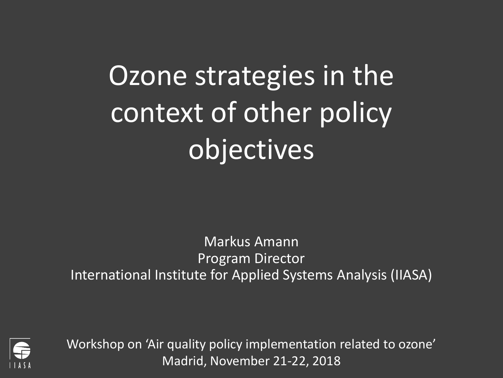# Ozone strategies in the context of other policy objectives

Markus Amann Program Director International Institute for Applied Systems Analysis (IIASA)



Workshop on 'Air quality policy implementation related to ozone' Madrid, November 21-22, 2018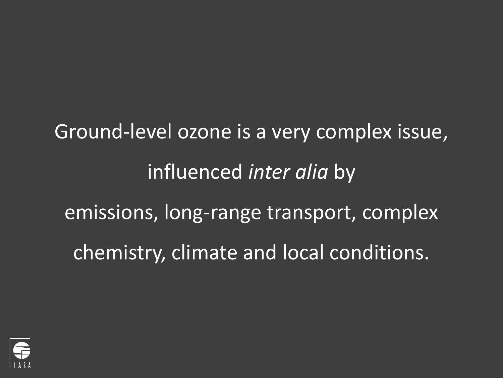Ground-level ozone is a very complex issue, influenced *inter alia* by emissions, long-range transport, complex chemistry, climate and local conditions.

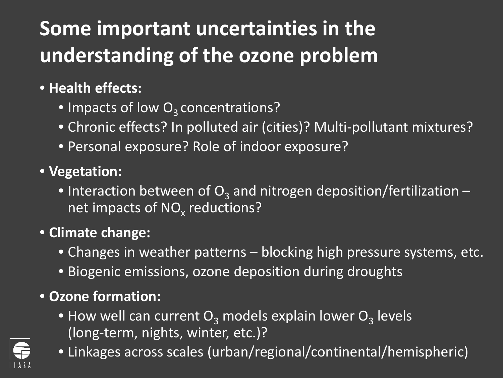## **Some important uncertainties in the understanding of the ozone problem**

#### • **Health effects:**

- Impacts of low  $O<sub>3</sub>$  concentrations?
- Chronic effects? In polluted air (cities)? Multi-pollutant mixtures?
- Personal exposure? Role of indoor exposure?
- **Vegetation:**
	- Interaction between of  $O_3$  and nitrogen deposition/fertilization net impacts of  $NO<sub>x</sub>$  reductions?

#### • **Climate change:**

- Changes in weather patterns blocking high pressure systems, etc.
- Biogenic emissions, ozone deposition during droughts

### • **Ozone formation:**

- How well can current  $O_3$  models explain lower  $O_3$  levels (long-term, nights, winter, etc.)?
- Linkages across scales (urban/regional/continental/hemispheric)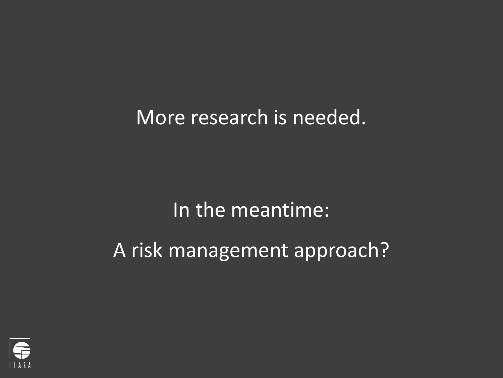More research is needed.

In the meantime:

A risk management approach?

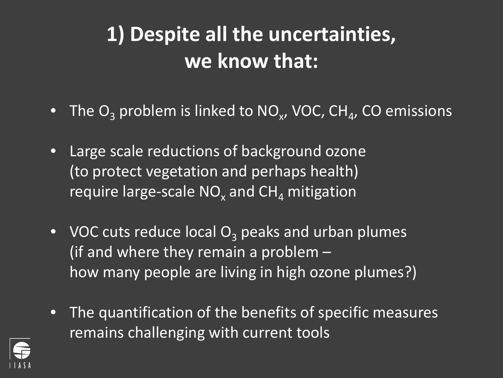### **1) Despite all the uncertainties, we know that:**

- The  $O_3$  problem is linked to NO<sub>x</sub>, VOC, CH<sub>4</sub>, CO emissions
- Large scale reductions of background ozone (to protect vegetation and perhaps health) require large-scale  $NO<sub>x</sub>$  and  $CH<sub>A</sub>$  mitigation
- VOC cuts reduce local  $O<sub>3</sub>$  peaks and urban plumes (if and where they remain a problem – how many people are living in high ozone plumes?)
- The quantification of the benefits of specific measures remains challenging with current tools

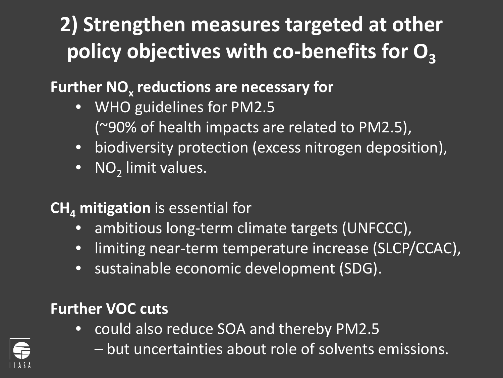## **2) Strengthen measures targeted at other**  policy objectives with co-benefits for O<sub>3</sub>

### **Further NO<sub>x</sub> reductions are necessary for**

- WHO guidelines for PM2.5 (~90% of health impacts are related to PM2.5),
- biodiversity protection (excess nitrogen deposition),
- $\overline{\bullet}$  NO<sub>2</sub> limit values.

### **CH<sub>4</sub> mitigation** is essential for

- ambitious long-term climate targets (UNFCCC),
- limiting near-term temperature increase (SLCP/CCAC),
- sustainable economic development (SDG).

### **Further VOC cuts**

- could also reduce SOA and thereby PM2.5
	- but uncertainties about role of solvents emissions.